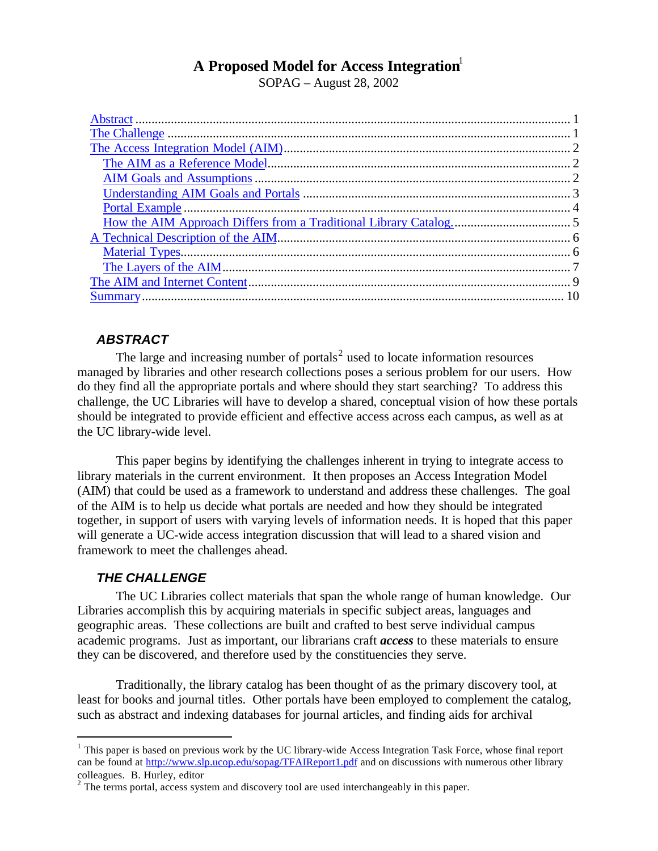# **A Proposed Model for Access Integration**<sup>1</sup>

SOPAG – August 28, 2002

# *ABSTRACT*

The large and increasing number of portals<sup>2</sup> used to locate information resources managed by libraries and other research collections poses a serious problem for our users. How do they find all the appropriate portals and where should they start searching? To address this challenge, the UC Libraries will have to develop a shared, conceptual vision of how these portals should be integrated to provide efficient and effective access across each campus, as well as at the UC library-wide level.

This paper begins by identifying the challenges inherent in trying to integrate access to library materials in the current environment. It then proposes an Access Integration Model (AIM) that could be used as a framework to understand and address these challenges. The goal of the AIM is to help us decide what portals are needed and how they should be integrated together, in support of users with varying levels of information needs. It is hoped that this paper will generate a UC-wide access integration discussion that will lead to a shared vision and framework to meet the challenges ahead.

# *THE CHALLENGE*

 $\overline{a}$ 

The UC Libraries collect materials that span the whole range of human knowledge. Our Libraries accomplish this by acquiring materials in specific subject areas, languages and geographic areas. These collections are built and crafted to best serve individual campus academic programs. Just as important, our librarians craft *access* to these materials to ensure they can be discovered*,* and therefore used by the constituencies they serve.

Traditionally, the library catalog has been thought of as the primary discovery tool, at least for books and journal titles. Other portals have been employed to complement the catalog, such as abstract and indexing databases for journal articles, and finding aids for archival

 $<sup>1</sup>$  This paper is based on previous work by the UC library-wide Access Integration Task Force, whose final report</sup> can be found at http://www.slp.ucop.edu/sopag/TFAIReport1.pdf and on discussions with numerous other library colleagues. B. Hurley, editor

 $2^2$  The terms portal, access system and discovery tool are used interchangeably in this paper.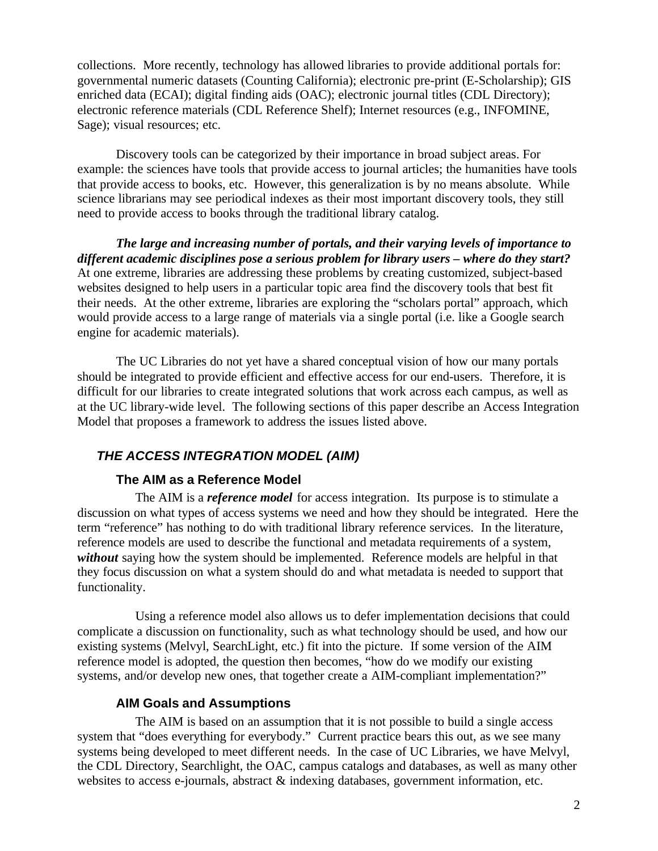collections. More recently, technology has allowed libraries to provide additional portals for: governmental numeric datasets (Counting California); electronic pre-print (E-Scholarship); GIS enriched data (ECAI); digital finding aids (OAC); electronic journal titles (CDL Directory); electronic reference materials (CDL Reference Shelf); Internet resources (e.g., INFOMINE, Sage); visual resources; etc.

Discovery tools can be categorized by their importance in broad subject areas. For example: the sciences have tools that provide access to journal articles; the humanities have tools that provide access to books, etc. However, this generalization is by no means absolute. While science librarians may see periodical indexes as their most important discovery tools, they still need to provide access to books through the traditional library catalog.

*The large and increasing number of portals, and their varying levels of importance to different academic disciplines pose a serious problem for library users – where do they start?* At one extreme, libraries are addressing these problems by creating customized, subject-based websites designed to help users in a particular topic area find the discovery tools that best fit their needs. At the other extreme, libraries are exploring the "scholars portal" approach, which would provide access to a large range of materials via a single portal (i.e. like a Google search engine for academic materials).

The UC Libraries do not yet have a shared conceptual vision of how our many portals should be integrated to provide efficient and effective access for our end-users. Therefore, it is difficult for our libraries to create integrated solutions that work across each campus, as well as at the UC library-wide level. The following sections of this paper describe an Access Integration Model that proposes a framework to address the issues listed above.

# *THE ACCESS INTEGRATION MODEL (AIM)*

### **The AIM as a Reference Model**

The AIM is a *reference model* for access integration. Its purpose is to stimulate a discussion on what types of access systems we need and how they should be integrated. Here the term "reference" has nothing to do with traditional library reference services. In the literature, reference models are used to describe the functional and metadata requirements of a system, *without* saying how the system should be implemented. Reference models are helpful in that they focus discussion on what a system should do and what metadata is needed to support that functionality.

Using a reference model also allows us to defer implementation decisions that could complicate a discussion on functionality, such as what technology should be used, and how our existing systems (Melvyl, SearchLight, etc.) fit into the picture. If some version of the AIM reference model is adopted, the question then becomes, "how do we modify our existing systems, and/or develop new ones, that together create a AIM-compliant implementation?"

### **AIM Goals and Assumptions**

The AIM is based on an assumption that it is not possible to build a single access system that "does everything for everybody." Current practice bears this out, as we see many systems being developed to meet different needs. In the case of UC Libraries, we have Melvyl, the CDL Directory, Searchlight, the OAC, campus catalogs and databases, as well as many other websites to access e-journals, abstract & indexing databases, government information, etc.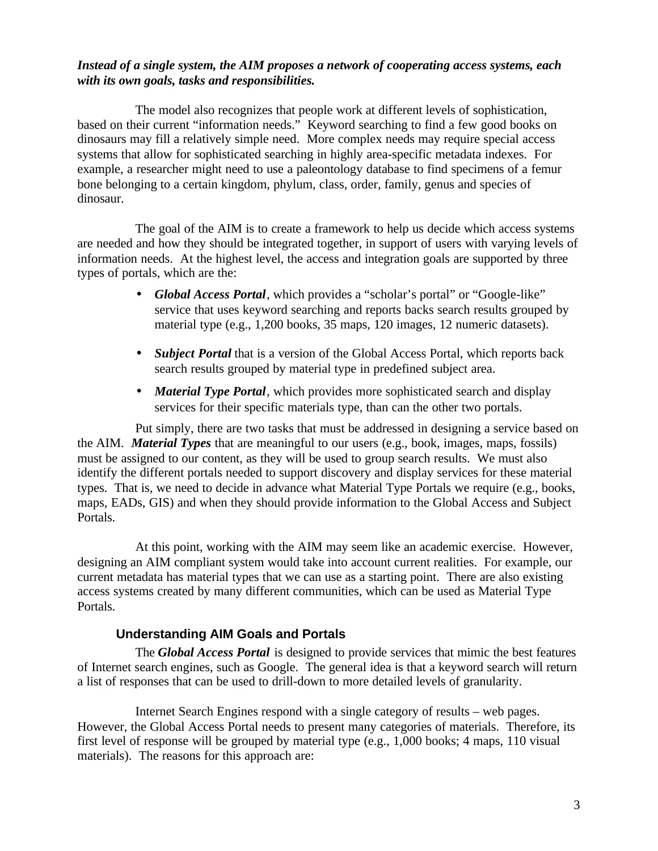### *Instead of a single system, the AIM proposes a network of cooperating access systems, each with its own goals, tasks and responsibilities.*

The model also recognizes that people work at different levels of sophistication, based on their current "information needs." Keyword searching to find a few good books on dinosaurs may fill a relatively simple need. More complex needs may require special access systems that allow for sophisticated searching in highly area-specific metadata indexes. For example, a researcher might need to use a paleontology database to find specimens of a femur bone belonging to a certain kingdom, phylum, class, order, family, genus and species of dinosaur.

The goal of the AIM is to create a framework to help us decide which access systems are needed and how they should be integrated together, in support of users with varying levels of information needs. At the highest level, the access and integration goals are supported by three types of portals, which are the:

- *Global Access Portal*, which provides a "scholar's portal" or "Google-like" service that uses keyword searching and reports backs search results grouped by material type (e.g., 1,200 books, 35 maps, 120 images, 12 numeric datasets).
- *Subject Portal* that is a version of the Global Access Portal, which reports back search results grouped by material type in predefined subject area.
- *Material Type Portal*, which provides more sophisticated search and display services for their specific materials type, than can the other two portals.

Put simply, there are two tasks that must be addressed in designing a service based on the AIM. *Material Types* that are meaningful to our users (e.g., book, images, maps, fossils) must be assigned to our content, as they will be used to group search results. We must also identify the different portals needed to support discovery and display services for these material types. That is, we need to decide in advance what Material Type Portals we require (e.g., books, maps, EADs, GIS) and when they should provide information to the Global Access and Subject Portals.

At this point, working with the AIM may seem like an academic exercise. However, designing an AIM compliant system would take into account current realities. For example, our current metadata has material types that we can use as a starting point. There are also existing access systems created by many different communities, which can be used as Material Type Portals.

# **Understanding AIM Goals and Portals**

The *Global Access Portal* is designed to provide services that mimic the best features of Internet search engines, such as Google. The general idea is that a keyword search will return a list of responses that can be used to drill-down to more detailed levels of granularity.

Internet Search Engines respond with a single category of results – web pages. However, the Global Access Portal needs to present many categories of materials. Therefore, its first level of response will be grouped by material type (e.g., 1,000 books; 4 maps, 110 visual materials). The reasons for this approach are: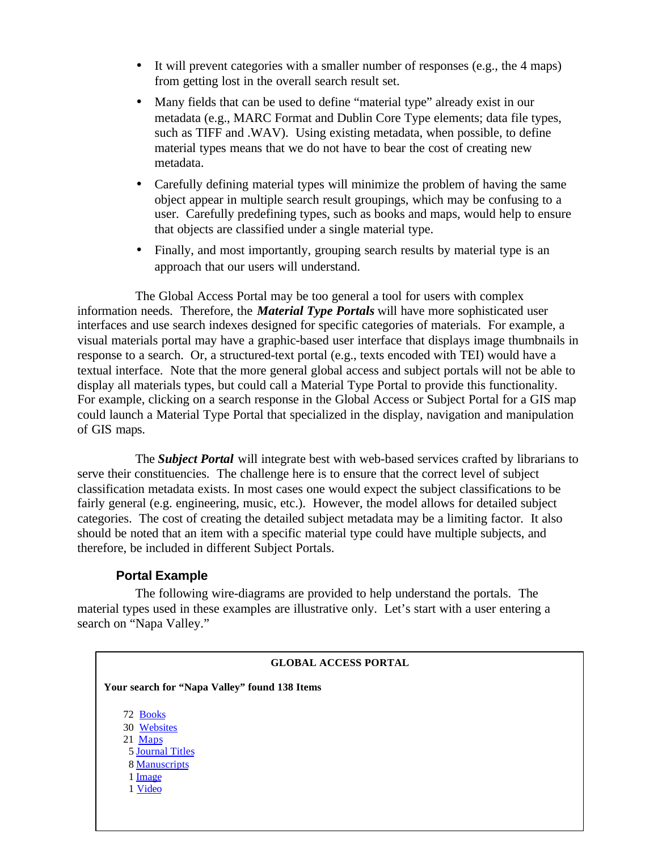- It will prevent categories with a smaller number of responses (e.g., the 4 maps) from getting lost in the overall search result set.
- Many fields that can be used to define "material type" already exist in our metadata (e.g., MARC Format and Dublin Core Type elements; data file types, such as TIFF and .WAV). Using existing metadata, when possible, to define material types means that we do not have to bear the cost of creating new metadata.
- Carefully defining material types will minimize the problem of having the same object appear in multiple search result groupings, which may be confusing to a user. Carefully predefining types, such as books and maps, would help to ensure that objects are classified under a single material type.
- Finally, and most importantly, grouping search results by material type is an approach that our users will understand.

The Global Access Portal may be too general a tool for users with complex information needs. Therefore, the *Material Type Portals* will have more sophisticated user interfaces and use search indexes designed for specific categories of materials. For example, a visual materials portal may have a graphic-based user interface that displays image thumbnails in response to a search. Or, a structured-text portal (e.g., texts encoded with TEI) would have a textual interface. Note that the more general global access and subject portals will not be able to display all materials types, but could call a Material Type Portal to provide this functionality. For example, clicking on a search response in the Global Access or Subject Portal for a GIS map could launch a Material Type Portal that specialized in the display, navigation and manipulation of GIS maps.

The *Subject Portal* will integrate best with web-based services crafted by librarians to serve their constituencies. The challenge here is to ensure that the correct level of subject classification metadata exists. In most cases one would expect the subject classifications to be fairly general (e.g. engineering, music, etc.). However, the model allows for detailed subject categories. The cost of creating the detailed subject metadata may be a limiting factor. It also should be noted that an item with a specific material type could have multiple subjects, and therefore, be included in different Subject Portals.

### **Portal Example**

The following wire-diagrams are provided to help understand the portals. The material types used in these examples are illustrative only. Let's start with a user entering a search on "Napa Valley."

# **GLOBAL ACCESS PORTAL Your search for "Napa Valley" found 138 Items** 72 Books 30 Websites 21 Maps 5 Journal Titles 8 Manuscripts 1 Image 1 Video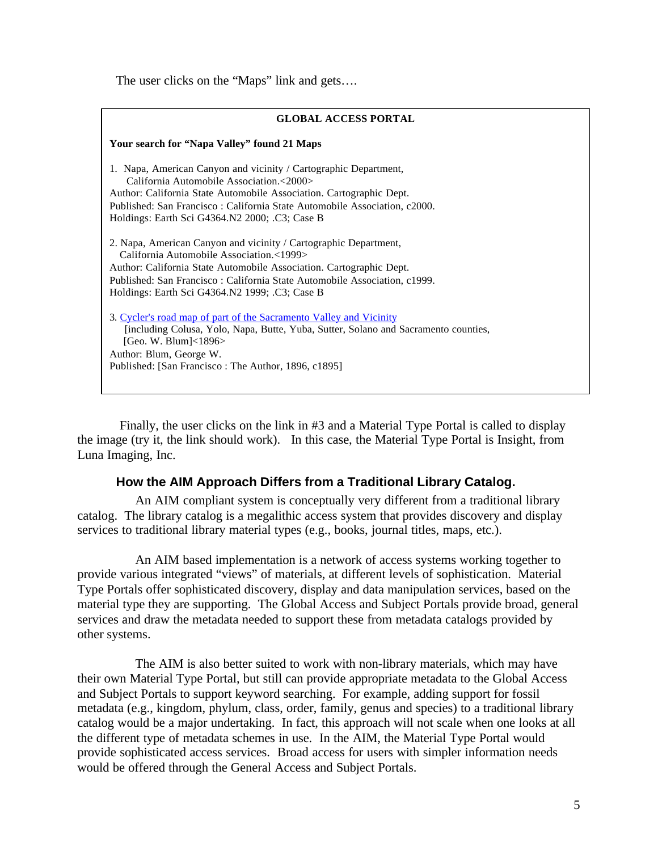The user clicks on the "Maps" link and gets....

| <b>GLOBAL ACCESS PORTAL</b>                                                                                                                                                                                                                                                                                        |
|--------------------------------------------------------------------------------------------------------------------------------------------------------------------------------------------------------------------------------------------------------------------------------------------------------------------|
| Your search for "Napa Valley" found 21 Maps                                                                                                                                                                                                                                                                        |
| 1. Napa, American Canyon and vicinity / Cartographic Department,<br>California Automobile Association.<2000><br>Author: California State Automobile Association. Cartographic Dept.<br>Published: San Francisco: California State Automobile Association, c2000.<br>Holdings: Earth Sci G4364.N2 2000; .C3; Case B |
| 2. Napa, American Canyon and vicinity / Cartographic Department,<br>California Automobile Association.<1999><br>Author: California State Automobile Association. Cartographic Dept.<br>Published: San Francisco: California State Automobile Association, c1999.<br>Holdings: Earth Sci G4364.N2 1999; .C3; Case B |
| 3. Cycler's road map of part of the Sacramento Valley and Vicinity<br>[including Colusa, Yolo, Napa, Butte, Yuba, Sutter, Solano and Sacramento counties,<br>[Geo. W. Blum]< $1896>$<br>Author: Blum, George W.<br>Published: [San Francisco : The Author, 1896, c1895]                                            |
|                                                                                                                                                                                                                                                                                                                    |

 Finally, the user clicks on the link in #3 and a Material Type Portal is called to display the image (try it, the link should work). In this case, the Material Type Portal is Insight, from Luna Imaging, Inc.

# **How the AIM Approach Differs from a Traditional Library Catalog.**

An AIM compliant system is conceptually very different from a traditional library catalog. The library catalog is a megalithic access system that provides discovery and display services to traditional library material types (e.g., books, journal titles, maps, etc.).

An AIM based implementation is a network of access systems working together to provide various integrated "views" of materials, at different levels of sophistication. Material Type Portals offer sophisticated discovery, display and data manipulation services, based on the material type they are supporting. The Global Access and Subject Portals provide broad, general services and draw the metadata needed to support these from metadata catalogs provided by other systems.

The AIM is also better suited to work with non-library materials, which may have their own Material Type Portal, but still can provide appropriate metadata to the Global Access and Subject Portals to support keyword searching. For example, adding support for fossil metadata (e.g., kingdom, phylum, class, order, family, genus and species) to a traditional library catalog would be a major undertaking. In fact, this approach will not scale when one looks at all the different type of metadata schemes in use. In the AIM, the Material Type Portal would provide sophisticated access services. Broad access for users with simpler information needs would be offered through the General Access and Subject Portals.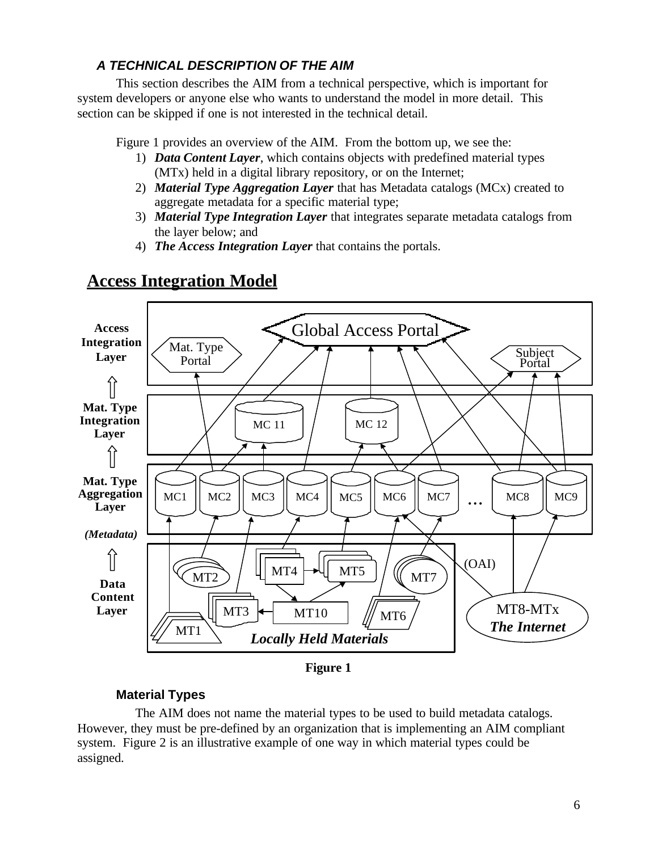# *A TECHNICAL DESCRIPTION OF THE AIM*

This section describes the AIM from a technical perspective, which is important for system developers or anyone else who wants to understand the model in more detail. This section can be skipped if one is not interested in the technical detail.

Figure 1 provides an overview of the AIM. From the bottom up, we see the:

- 1) *Data Content Layer*, which contains objects with predefined material types (MTx) held in a digital library repository, or on the Internet;
- 2) *Material Type Aggregation Layer* that has Metadata catalogs (MCx) created to aggregate metadata for a specific material type;
- 3) *Material Type Integration Layer* that integrates separate metadata catalogs from the layer below; and
- 4) *The Access Integration Layer* that contains the portals.

# **Access Integration Model**



**Figure 1**

# **Material Types**

The AIM does not name the material types to be used to build metadata catalogs. However, they must be pre-defined by an organization that is implementing an AIM compliant system. Figure 2 is an illustrative example of one way in which material types could be assigned.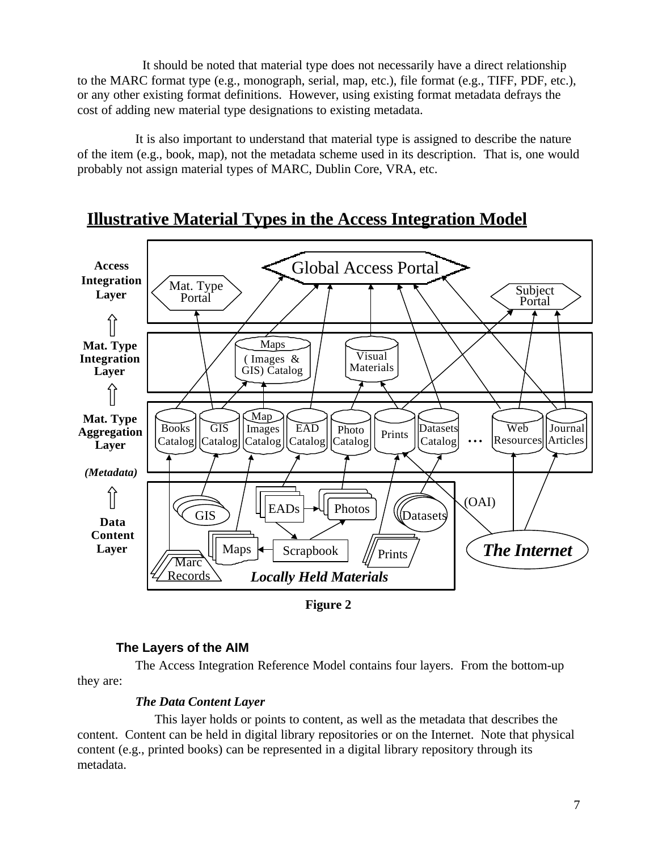It should be noted that material type does not necessarily have a direct relationship to the MARC format type (e.g., monograph, serial, map, etc.), file format (e.g., TIFF, PDF, etc.), or any other existing format definitions. However, using existing format metadata defrays the cost of adding new material type designations to existing metadata.

It is also important to understand that material type is assigned to describe the nature of the item (e.g., book, map), not the metadata scheme used in its description. That is, one would probably not assign material types of MARC, Dublin Core, VRA, etc.



# **Illustrative Material Types in the Access Integration Model**

**Figure 2**

# **The Layers of the AIM**

The Access Integration Reference Model contains four layers. From the bottom-up they are:

# *The Data Content Layer*

This layer holds or points to content, as well as the metadata that describes the content. Content can be held in digital library repositories or on the Internet. Note that physical content (e.g., printed books) can be represented in a digital library repository through its metadata.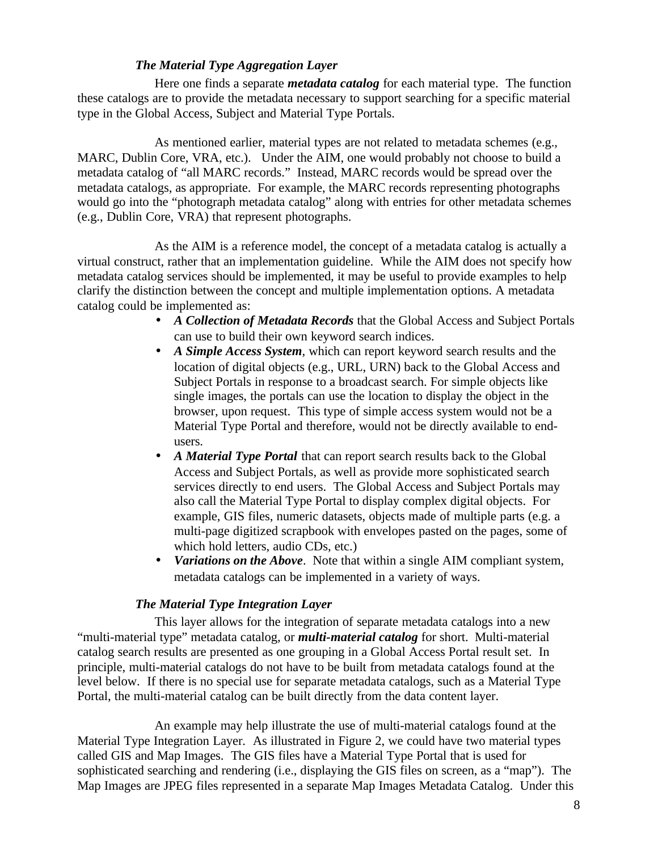### *The Material Type Aggregation Layer*

Here one finds a separate *metadata catalog* for each material type. The function these catalogs are to provide the metadata necessary to support searching for a specific material type in the Global Access, Subject and Material Type Portals.

As mentioned earlier, material types are not related to metadata schemes (e.g., MARC, Dublin Core, VRA, etc.). Under the AIM, one would probably not choose to build a metadata catalog of "all MARC records." Instead, MARC records would be spread over the metadata catalogs, as appropriate. For example, the MARC records representing photographs would go into the "photograph metadata catalog" along with entries for other metadata schemes (e.g., Dublin Core, VRA) that represent photographs.

As the AIM is a reference model, the concept of a metadata catalog is actually a virtual construct, rather that an implementation guideline. While the AIM does not specify how metadata catalog services should be implemented, it may be useful to provide examples to help clarify the distinction between the concept and multiple implementation options. A metadata catalog could be implemented as:

- *A Collection of Metadata Records* that the Global Access and Subject Portals can use to build their own keyword search indices.
- *A Simple Access System*, which can report keyword search results and the location of digital objects (e.g., URL, URN) back to the Global Access and Subject Portals in response to a broadcast search. For simple objects like single images, the portals can use the location to display the object in the browser, upon request. This type of simple access system would not be a Material Type Portal and therefore, would not be directly available to endusers.
- *A Material Type Portal* that can report search results back to the Global Access and Subject Portals, as well as provide more sophisticated search services directly to end users. The Global Access and Subject Portals may also call the Material Type Portal to display complex digital objects. For example, GIS files, numeric datasets, objects made of multiple parts (e.g. a multi-page digitized scrapbook with envelopes pasted on the pages, some of which hold letters, audio CDs, etc.)
- *Variations on the Above*. Note that within a single AIM compliant system, metadata catalogs can be implemented in a variety of ways.

### *The Material Type Integration Layer*

This layer allows for the integration of separate metadata catalogs into a new "multi-material type" metadata catalog, or *multi-material catalog* for short. Multi-material catalog search results are presented as one grouping in a Global Access Portal result set. In principle, multi-material catalogs do not have to be built from metadata catalogs found at the level below. If there is no special use for separate metadata catalogs, such as a Material Type Portal, the multi-material catalog can be built directly from the data content layer.

An example may help illustrate the use of multi-material catalogs found at the Material Type Integration Layer. As illustrated in Figure 2, we could have two material types called GIS and Map Images. The GIS files have a Material Type Portal that is used for sophisticated searching and rendering (i.e., displaying the GIS files on screen, as a "map"). The Map Images are JPEG files represented in a separate Map Images Metadata Catalog. Under this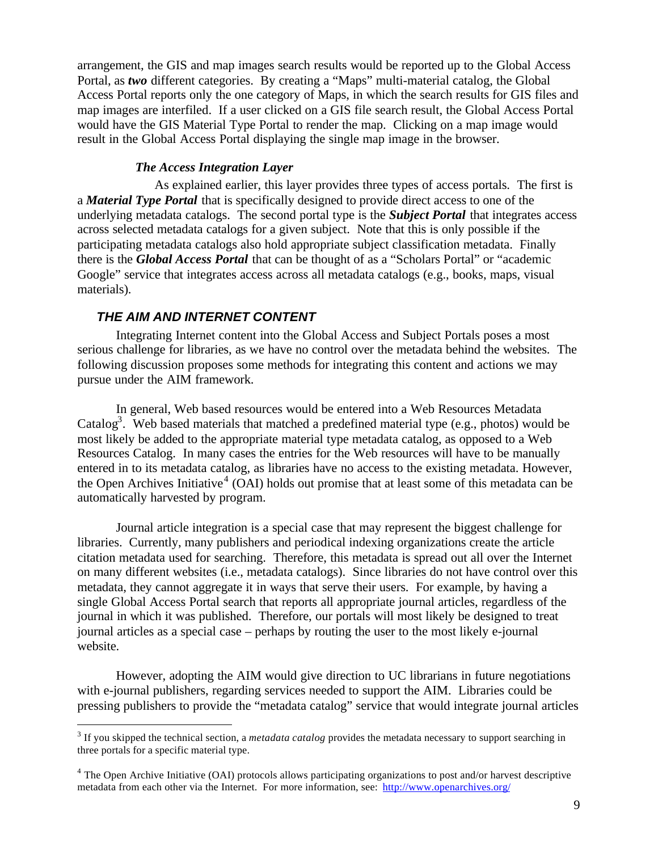arrangement, the GIS and map images search results would be reported up to the Global Access Portal, as *two* different categories. By creating a "Maps" multi-material catalog, the Global Access Portal reports only the one category of Maps, in which the search results for GIS files and map images are interfiled. If a user clicked on a GIS file search result, the Global Access Portal would have the GIS Material Type Portal to render the map. Clicking on a map image would result in the Global Access Portal displaying the single map image in the browser.

### *The Access Integration Layer*

As explained earlier, this layer provides three types of access portals. The first is a *Material Type Portal* that is specifically designed to provide direct access to one of the underlying metadata catalogs. The second portal type is the *Subject Portal* that integrates access across selected metadata catalogs for a given subject. Note that this is only possible if the participating metadata catalogs also hold appropriate subject classification metadata. Finally there is the *Global Access Portal* that can be thought of as a "Scholars Portal" or "academic Google" service that integrates access across all metadata catalogs (e.g., books, maps, visual materials).

### *THE AIM AND INTERNET CONTENT*

 $\overline{a}$ 

Integrating Internet content into the Global Access and Subject Portals poses a most serious challenge for libraries, as we have no control over the metadata behind the websites. The following discussion proposes some methods for integrating this content and actions we may pursue under the AIM framework.

In general, Web based resources would be entered into a Web Resources Metadata Catalog<sup>3</sup>. Web based materials that matched a predefined material type (e.g., photos) would be most likely be added to the appropriate material type metadata catalog, as opposed to a Web Resources Catalog. In many cases the entries for the Web resources will have to be manually entered in to its metadata catalog, as libraries have no access to the existing metadata. However, the Open Archives Initiative<sup>4</sup> (OAI) holds out promise that at least some of this metadata can be automatically harvested by program.

Journal article integration is a special case that may represent the biggest challenge for libraries. Currently, many publishers and periodical indexing organizations create the article citation metadata used for searching. Therefore, this metadata is spread out all over the Internet on many different websites (i.e., metadata catalogs). Since libraries do not have control over this metadata, they cannot aggregate it in ways that serve their users. For example, by having a single Global Access Portal search that reports all appropriate journal articles, regardless of the journal in which it was published. Therefore, our portals will most likely be designed to treat journal articles as a special case – perhaps by routing the user to the most likely e-journal website.

However, adopting the AIM would give direction to UC librarians in future negotiations with e-journal publishers, regarding services needed to support the AIM. Libraries could be pressing publishers to provide the "metadata catalog" service that would integrate journal articles

<sup>&</sup>lt;sup>3</sup> If you skipped the technical section, a *metadata catalog* provides the metadata necessary to support searching in three portals for a specific material type.

<sup>&</sup>lt;sup>4</sup> The Open Archive Initiative (OAI) protocols allows participating organizations to post and/or harvest descriptive metadata from each other via the Internet. For more information, see: http://www.openarchives.org/